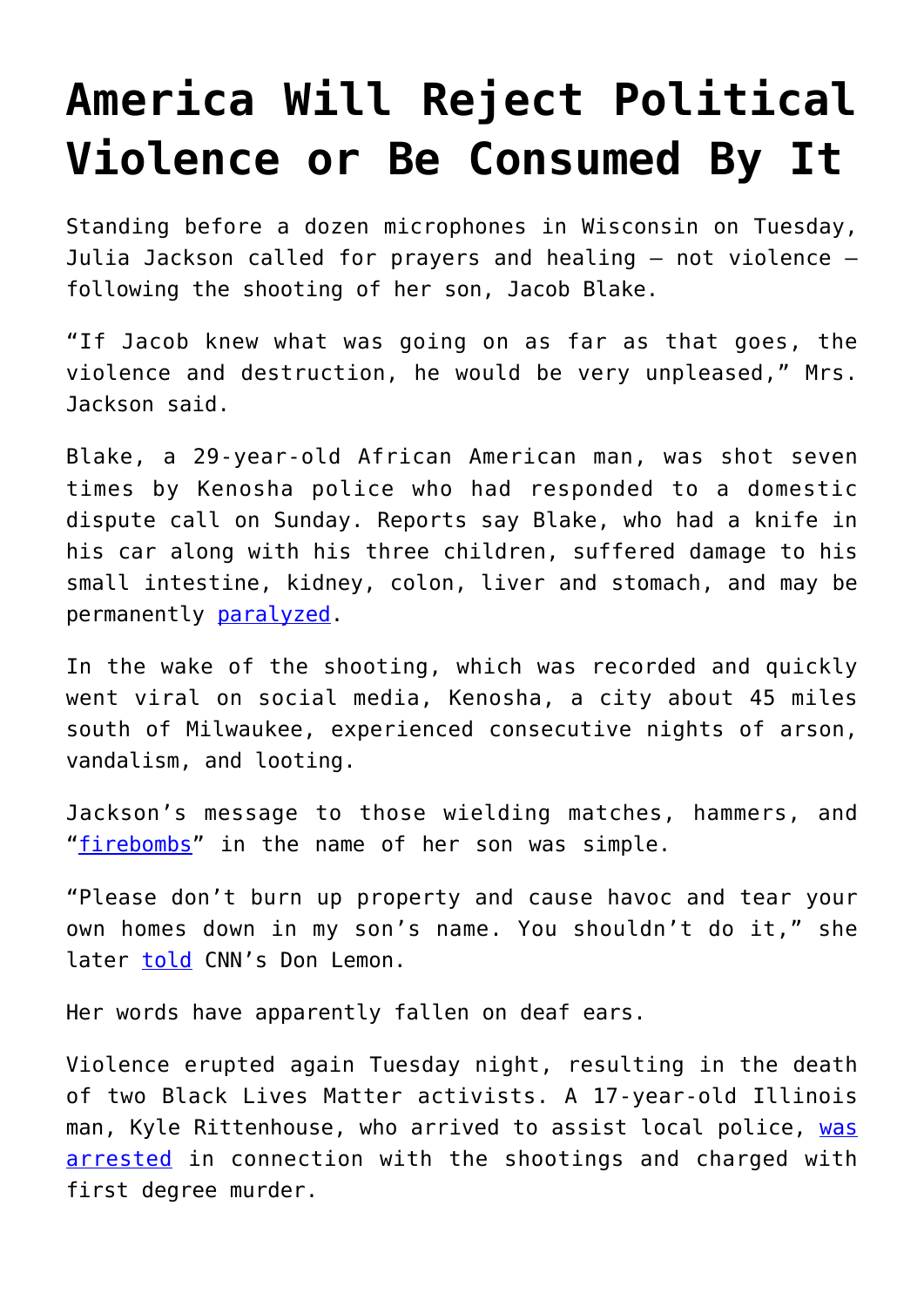## **[America Will Reject Political](https://intellectualtakeout.org/2020/08/america-will-reject-political-violence-or-be-consumed-by-it/) [Violence or Be Consumed By It](https://intellectualtakeout.org/2020/08/america-will-reject-political-violence-or-be-consumed-by-it/)**

Standing before a dozen microphones in Wisconsin on Tuesday, Julia Jackson called for prayers and healing – not violence – following the shooting of her son, Jacob Blake.

"If Jacob knew what was going on as far as that goes, the violence and destruction, he would be very unpleased," Mrs. Jackson said.

Blake, a 29-year-old African American man, was shot seven times by Kenosha police who had responded to a domestic dispute call on Sunday. Reports say Blake, who had a knife in his car along with his three children, suffered damage to his small intestine, kidney, colon, liver and stomach, and may be permanently [paralyzed](https://www.nbcnews.com/news/us-news/jacob-blake-paralyzed-waist-down-after-police-shooting-father-says-n1238009).

In the wake of the shooting, which was recorded and quickly went viral on social media, Kenosha, a city about 45 miles south of Milwaukee, experienced consecutive nights of arson, vandalism, and looting.

Jackson's message to those wielding matches, hammers, and "[firebombs"](https://www.kenoshanews.com/news/watch-now-authorities-respond-to-multiple-fires-vandalism-and-looting-as-kenosha-reels-from-blake/article_e196f328-a228-567f-8de1-764e4fb1b779.html) in the name of her son was simple.

"Please don't burn up property and cause havoc and tear your own homes down in my son's name. You shouldn't do it," she later [told](https://www.cnn.com/videos/us/2020/08/26/jacob-blake-mother-julia-jackson-message-to-trump-hospital-crump-lemon-bts-vpx.cnn) CNN's Don Lemon.

Her words have apparently fallen on deaf ears.

Violence erupted again Tuesday night, resulting in the death of two Black Lives Matter activists. A 17-year-old Illinois man, Kyle Rittenhouse, who arrived to assist local police, [was](https://chicago.cbslocal.com/2020/08/26/kenosha-shooting-kyle-rittenhouse-arrested-antioch-fugitive/) [arrested](https://chicago.cbslocal.com/2020/08/26/kenosha-shooting-kyle-rittenhouse-arrested-antioch-fugitive/) in connection with the shootings and charged with first degree murder.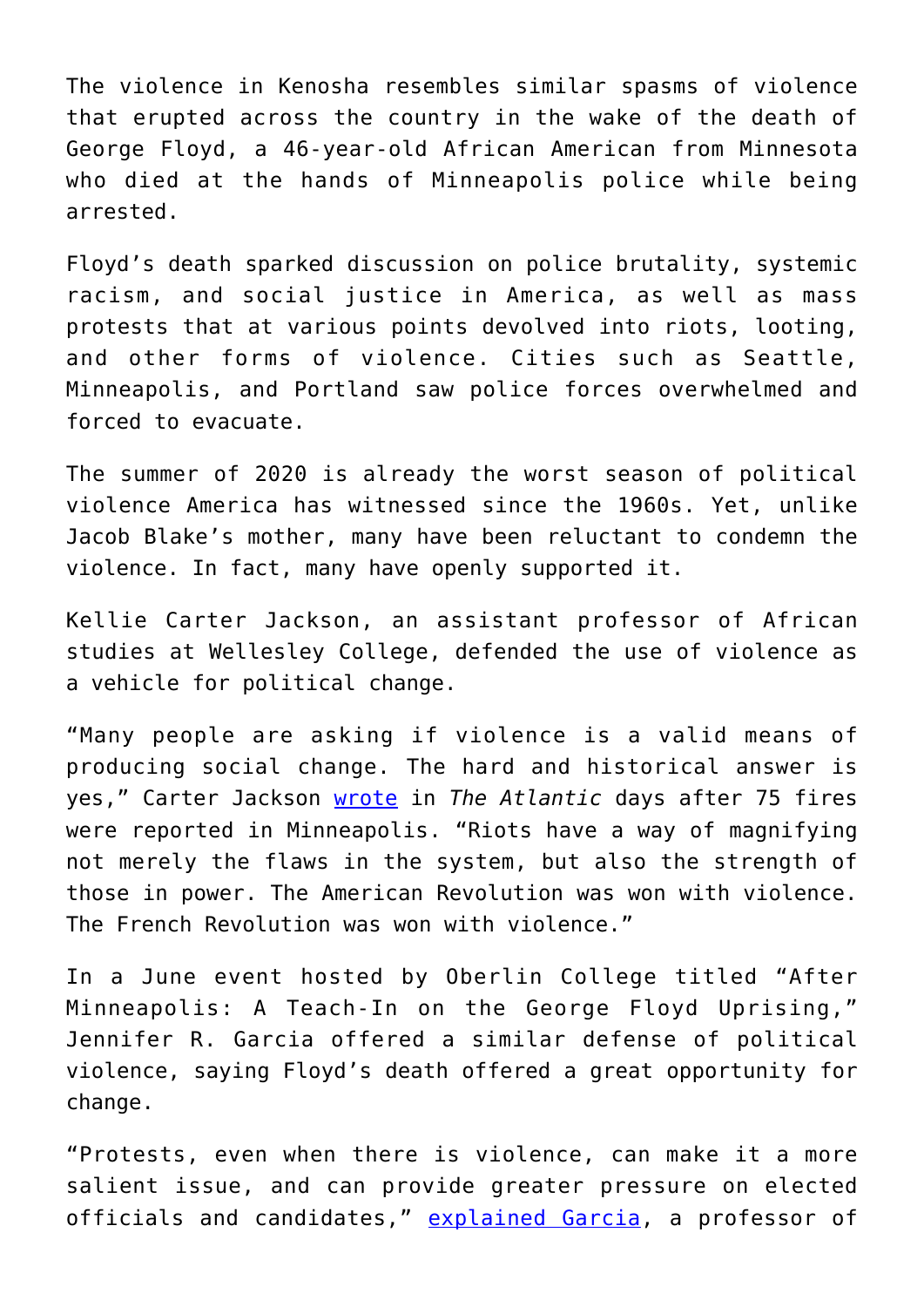The violence in Kenosha resembles similar spasms of violence that erupted across the country in the wake of the death of George Floyd, a 46-year-old African American from Minnesota who died at the hands of Minneapolis police while being arrested.

Floyd's death sparked discussion on police brutality, systemic racism, and social justice in America, as well as mass protests that at various points devolved into riots, looting, and other forms of violence. Cities such as Seattle, Minneapolis, and Portland saw police forces overwhelmed and forced to evacuate.

The summer of 2020 is already the worst season of political violence America has witnessed since the 1960s. Yet, unlike Jacob Blake's mother, many have been reluctant to condemn the violence. In fact, many have openly supported it.

Kellie Carter Jackson, an assistant professor of African studies at Wellesley College, defended the use of violence as a vehicle for political change.

"Many people are asking if violence is a valid means of producing social change. The hard and historical answer is yes," Carter Jackson [wrote](https://www.theatlantic.com/culture/archive/2020/06/riots-are-american-way-george-floyd-protests/612466/) in *The Atlantic* days after 75 fires were reported in Minneapolis. "Riots have a way of magnifying not merely the flaws in the system, but also the strength of those in power. The American Revolution was won with violence. The French Revolution was won with violence."

In a June event hosted by Oberlin College titled "After Minneapolis: A Teach-In on the George Floyd Uprising," Jennifer R. Garcia offered a similar defense of political violence, saying Floyd's death offered a great opportunity for change.

"Protests, even when there is violence, can make it a more salient issue, and can provide greater pressure on elected officials and candidates," [explained Garcia](https://vimeo.com/428627080), a professor of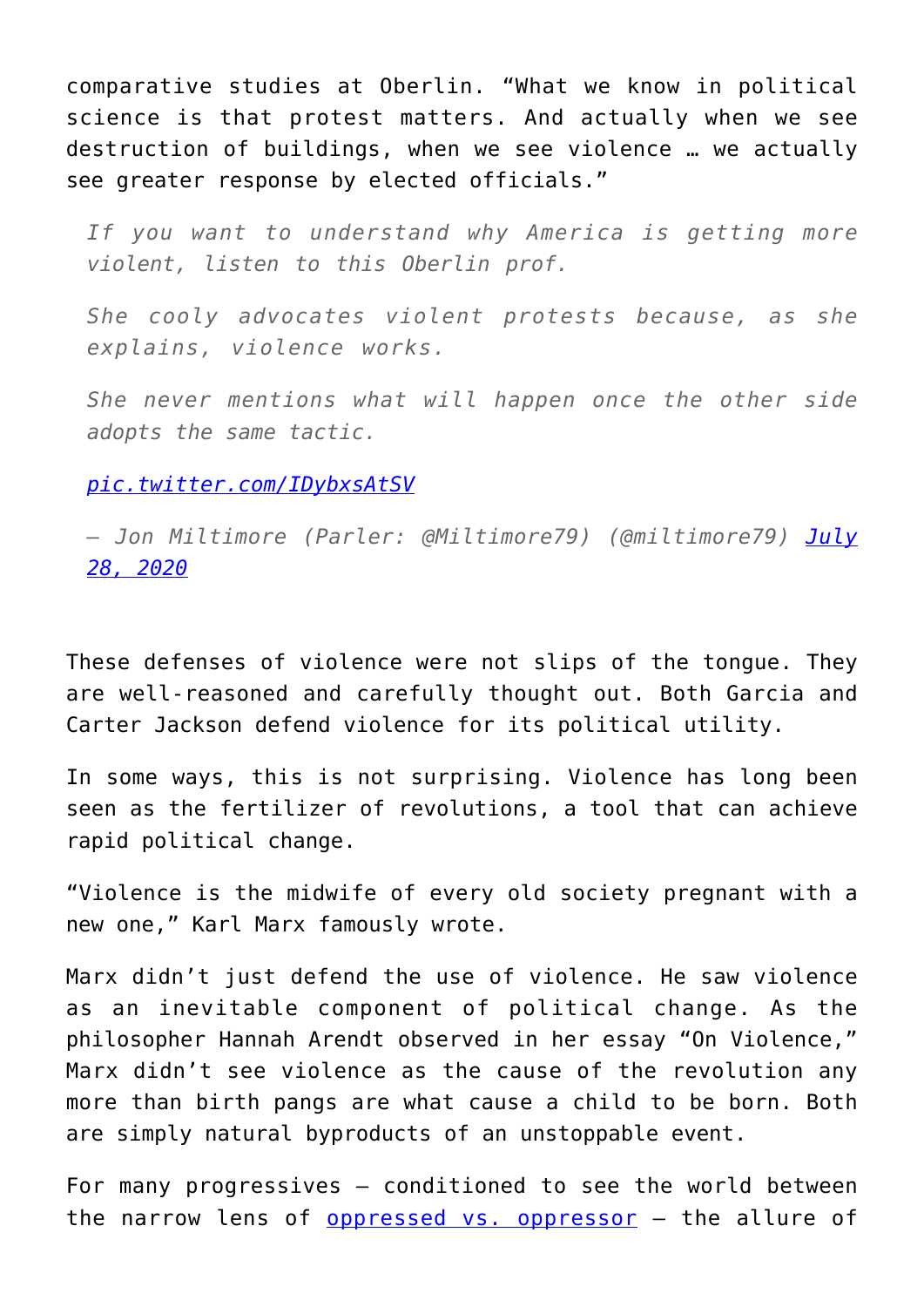comparative studies at Oberlin. "What we know in political science is that protest matters. And actually when we see destruction of buildings, when we see violence … we actually see greater response by elected officials."

*If you want to understand why America is getting more violent, listen to this Oberlin prof.*

*She cooly advocates violent protests because, as she explains, violence works.*

*She never mentions what will happen once the other side adopts the same tactic.*

## *[pic.twitter.com/IDybxsAtSV](https://t.co/IDybxsAtSV)*

*— Jon Miltimore (Parler: @Miltimore79) (@miltimore79) [July](https://twitter.com/miltimore79/status/1288231325221224449?ref_src=twsrc%5Etfw) [28, 2020](https://twitter.com/miltimore79/status/1288231325221224449?ref_src=twsrc%5Etfw)*

These defenses of violence were not slips of the tongue. They are well-reasoned and carefully thought out. Both Garcia and Carter Jackson defend violence for its political utility.

In some ways, this is not surprising. Violence has long been seen as the fertilizer of revolutions, a tool that can achieve rapid political change.

"Violence is the midwife of every old society pregnant with a new one," Karl Marx famously wrote.

Marx didn't just defend the use of violence. He saw violence as an inevitable component of political change. As the philosopher Hannah Arendt observed in her essay "On Violence," Marx didn't see violence as the cause of the revolution any more than birth pangs are what cause a child to be born. Both are simply natural byproducts of an unstoppable event.

For many progressives – conditioned to see the world between the narrow lens of [oppressed vs. oppressor](https://fee.org/articles/why-conservatives-cant-understand-liberals-and-vice-versa/) – the allure of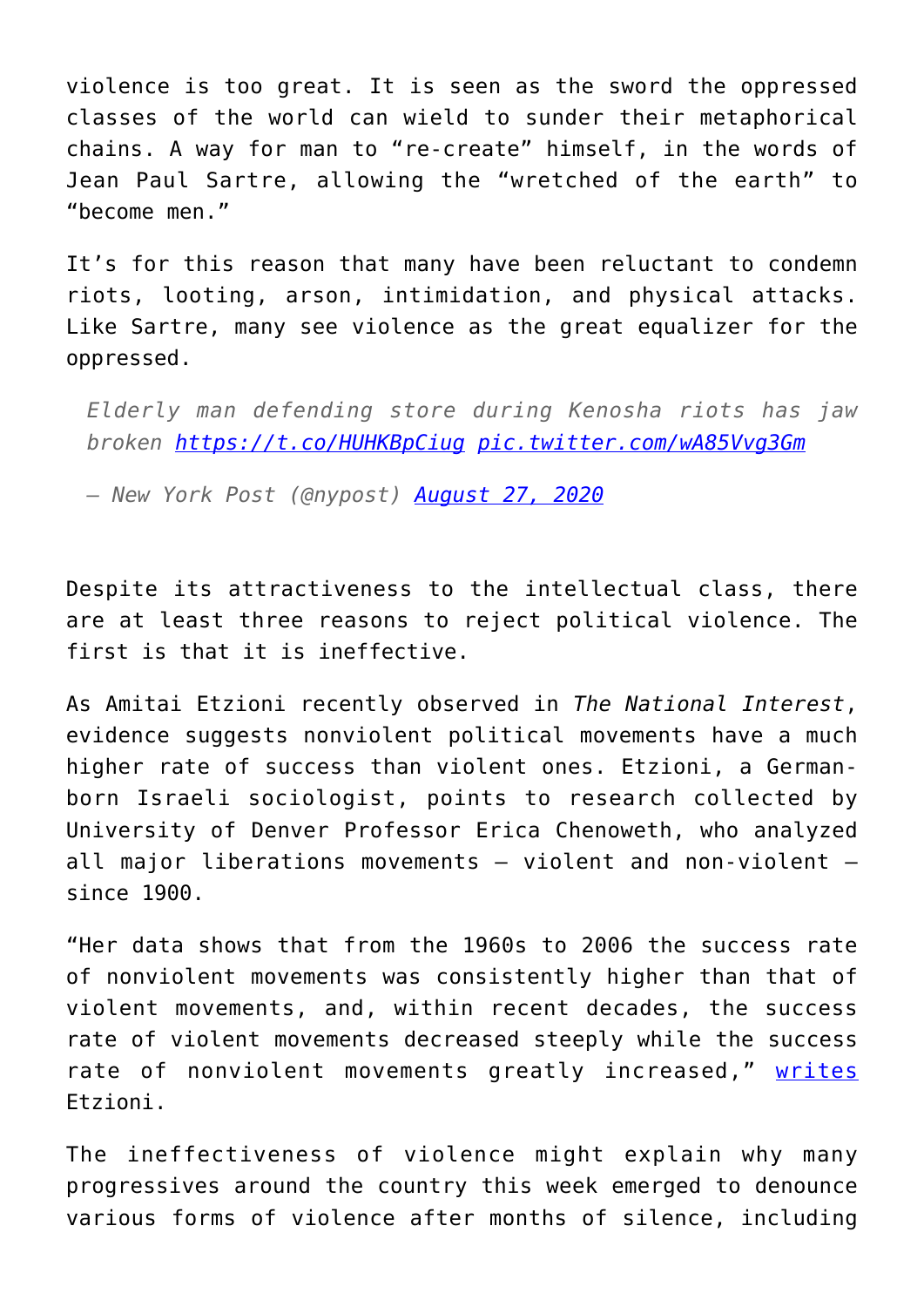violence is too great. It is seen as the sword the oppressed classes of the world can wield to sunder their metaphorical chains. A way for man to "re-create" himself, in the words of Jean Paul Sartre, allowing the "wretched of the earth" to "become men."

It's for this reason that many have been reluctant to condemn riots, looting, arson, intimidation, and physical attacks. Like Sartre, many see violence as the great equalizer for the oppressed.

*Elderly man defending store during Kenosha riots has jaw broken <https://t.co/HUHKBpCiug> [pic.twitter.com/wA85Vvg3Gm](https://t.co/wA85Vvg3Gm)*

*— New York Post (@nypost) [August 27, 2020](https://twitter.com/nypost/status/1298847988832505857?ref_src=twsrc%5Etfw)*

Despite its attractiveness to the intellectual class, there are at least three reasons to reject political violence. The first is that it is ineffective.

As Amitai Etzioni recently observed in *The National Interest*, evidence suggests nonviolent political movements have a much higher rate of success than violent ones. Etzioni, a Germanborn Israeli sociologist, points to research collected by University of Denver Professor Erica Chenoweth, who analyzed all major liberations movements – violent and non-violent – since 1900.

"Her data shows that from the 1960s to 2006 the success rate of nonviolent movements was consistently higher than that of violent movements, and, within recent decades, the success rate of violent movements decreased steeply while the success rate of nonviolent movements greatly increased," [writes](https://nationalinterest.org/feature/black-lives-matter-movement-must-solve-its-violence-problem-163732) Etzioni.

The ineffectiveness of violence might explain why many progressives around the country this week emerged to denounce various forms of violence after months of silence, including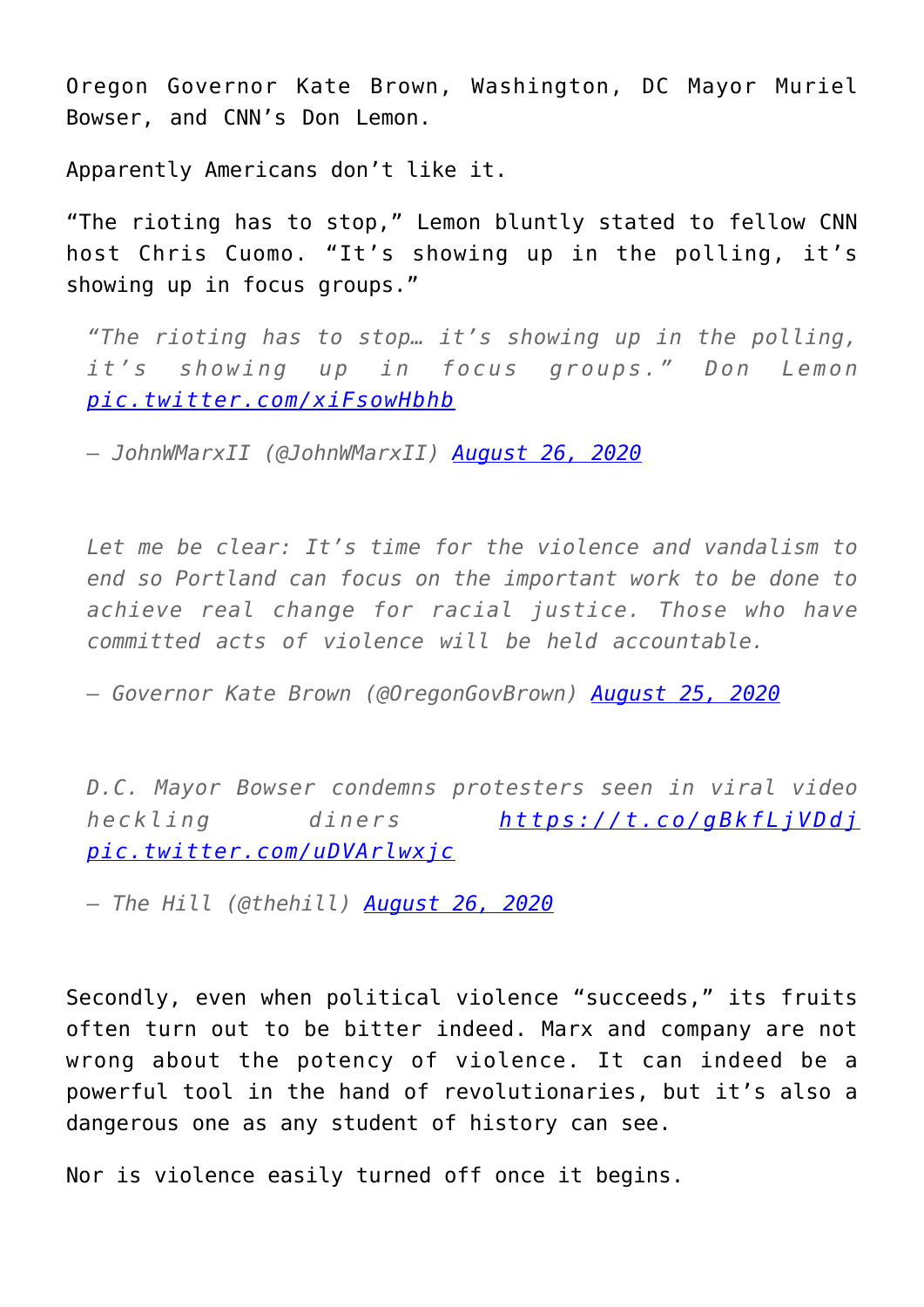Oregon Governor Kate Brown, Washington, DC Mayor Muriel Bowser, and CNN's Don Lemon.

Apparently Americans don't like it.

"The rioting has to stop," Lemon bluntly stated to fellow CNN host Chris Cuomo. "It's showing up in the polling, it's showing up in focus groups."

*"The rioting has to stop… it's showing up in the polling, it's showing up in focus groups." Don Lemon [pic.twitter.com/xiFsowHbhb](https://t.co/xiFsowHbhb)*

*— JohnWMarxII (@JohnWMarxII) [August 26, 2020](https://twitter.com/JohnWMarxII/status/1298596666434441217?ref_src=twsrc%5Etfw)*

*Let me be clear: It's time for the violence and vandalism to end so Portland can focus on the important work to be done to achieve real change for racial justice. Those who have committed acts of violence will be held accountable.*

*— Governor Kate Brown (@OregonGovBrown) [August 25, 2020](https://twitter.com/OregonGovBrown/status/1298355206753681408?ref_src=twsrc%5Etfw)*

*D.C. Mayor Bowser condemns protesters seen in viral video heckling diners <https://t.co/gBkfLjVDdj> [pic.twitter.com/uDVArlwxjc](https://t.co/uDVArlwxjc)*

*— The Hill (@thehill) [August 26, 2020](https://twitter.com/thehill/status/1298694721926320135?ref_src=twsrc%5Etfw)*

Secondly, even when political violence "succeeds," its fruits often turn out to be bitter indeed. Marx and company are not wrong about the potency of violence. It can indeed be a powerful tool in the hand of revolutionaries, but it's also a dangerous one as any student of history can see.

Nor is violence easily turned off once it begins.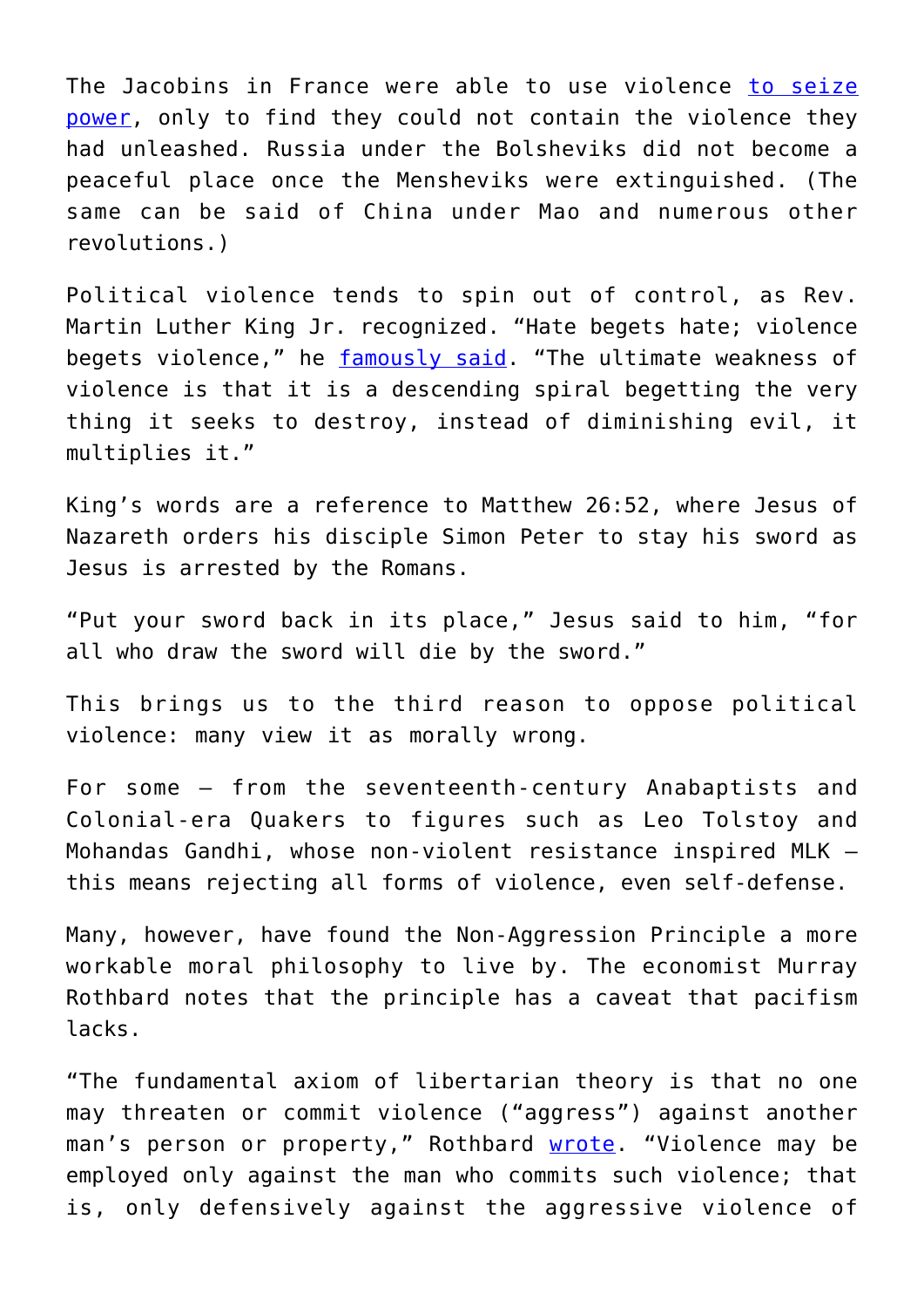The Jacobins in France were able to use violence [to seize](https://www.socialist.net/1783-jacobins.htm) [power,](https://www.socialist.net/1783-jacobins.htm) only to find they could not contain the violence they had unleashed. Russia under the Bolsheviks did not become a peaceful place once the Mensheviks were extinguished. (The same can be said of China under Mao and numerous other revolutions.)

Political violence tends to spin out of control, as Rev. Martin Luther King Jr. recognized. "Hate begets hate; violence begets violence," he [famously said.](https://en.wikipedia.org/wiki/Violence_begets_violence) "The ultimate weakness of violence is that it is a descending spiral begetting the very thing it seeks to destroy, instead of diminishing evil, it multiplies it."

King's words are a reference to Matthew 26:52, where Jesus of Nazareth orders his disciple Simon Peter to stay his sword as Jesus is arrested by the Romans.

"Put your sword back in its place," Jesus said to him, "for all who draw the sword will die by the sword."

This brings us to the third reason to oppose political violence: many view it as morally wrong.

For some – from the seventeenth-century Anabaptists and Colonial-era Quakers to figures such as Leo Tolstoy and Mohandas Gandhi, whose non-violent resistance inspired MLK – this means rejecting all forms of violence, even self-defense.

Many, however, have found the Non-Aggression Principle a more workable moral philosophy to live by. The economist Murray Rothbard notes that the principle has a caveat that pacifism lacks.

"The fundamental axiom of libertarian theory is that no one may threaten or commit violence ("aggress") against another man's person or property," Rothbard [wrote.](https://mises.org/library/rothbard-reader/html/c/404) "Violence may be employed only against the man who commits such violence; that is, only defensively against the aggressive violence of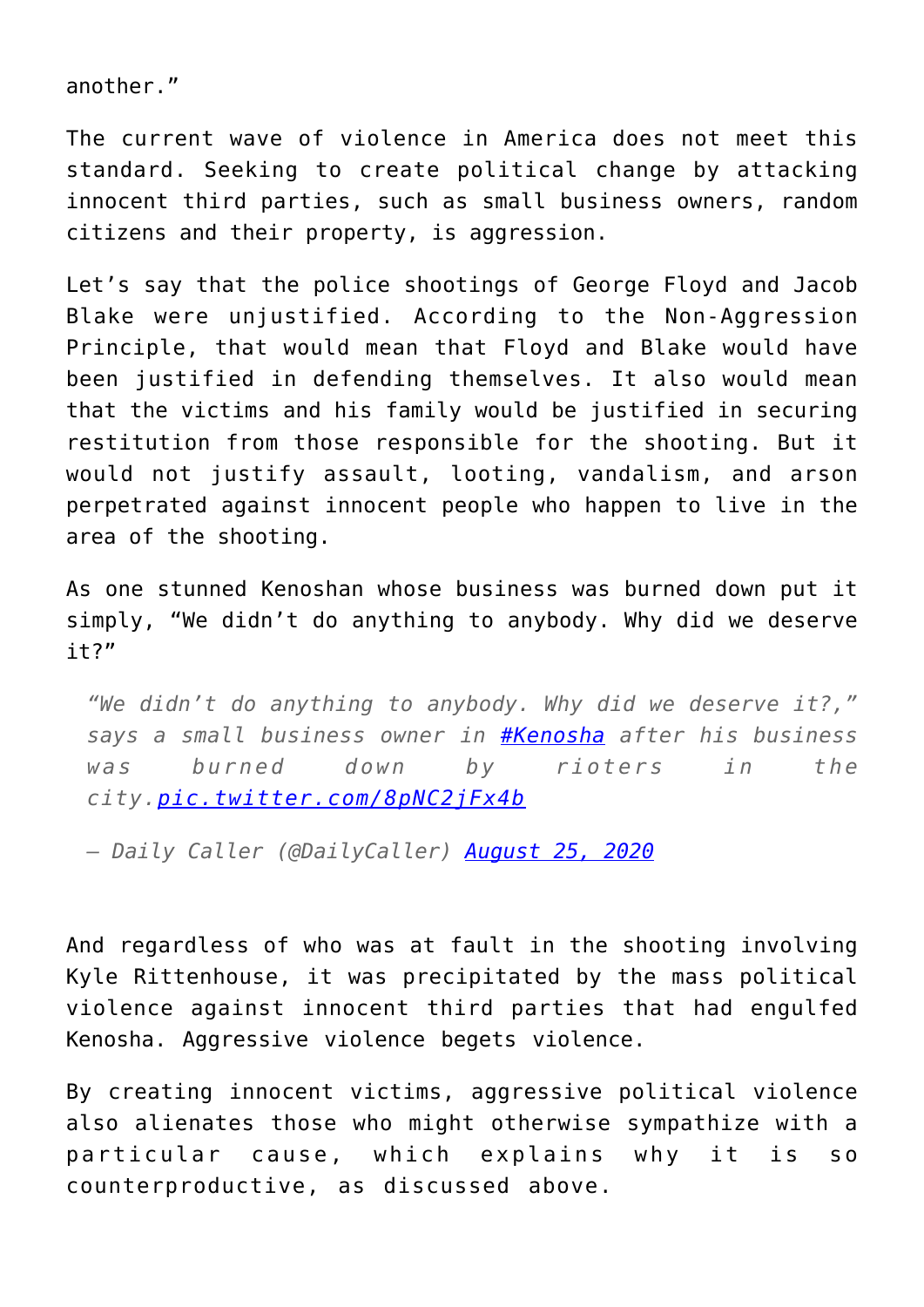another."

The current wave of violence in America does not meet this standard. Seeking to create political change by attacking innocent third parties, such as small business owners, random citizens and their property, is aggression.

Let's say that the police shootings of George Floyd and Jacob Blake were unjustified. According to the Non-Aggression Principle, that would mean that Floyd and Blake would have been justified in defending themselves. It also would mean that the victims and his family would be justified in securing restitution from those responsible for the shooting. But it would not justify assault, looting, vandalism, and arson perpetrated against innocent people who happen to live in the area of the shooting.

As one stunned Kenoshan whose business was burned down put it simply, "We didn't do anything to anybody. Why did we deserve  $it?"$ 

*"We didn't do anything to anybody. Why did we deserve it?," says a small business owner in [#Kenosha](https://twitter.com/hashtag/Kenosha?src=hash&ref_src=twsrc%5Etfw) after his business was burned down by rioters in the city.[pic.twitter.com/8pNC2jFx4b](https://t.co/8pNC2jFx4b)*

*— Daily Caller (@DailyCaller) [August 25, 2020](https://twitter.com/DailyCaller/status/1298309328013864966?ref_src=twsrc%5Etfw)*

And regardless of who was at fault in the shooting involving Kyle Rittenhouse, it was precipitated by the mass political violence against innocent third parties that had engulfed Kenosha. Aggressive violence begets violence.

By creating innocent victims, aggressive political violence also alienates those who might otherwise sympathize with a particular cause, which explains why it is so counterproductive, as discussed above.